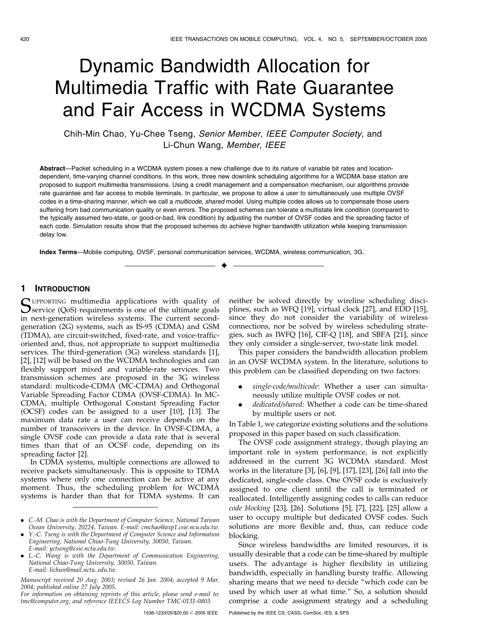# Dynamic Bandwidth Allocation for Multimedia Traffic with Rate Guarantee and Fair Access in WCDMA Systems

Chih-Min Chao, Yu-Chee Tseng, Senior Member, IEEE Computer Society, and Li-Chun Wang, Member, IEEE

Abstract—Packet scheduling in a WCDMA system poses a new challenge due to its nature of variable bit rates and locationdependent, time-varying channel conditions. In this work, three new downlink scheduling algorithms for a WCDMA base station are proposed to support multimedia transmissions. Using a credit management and a compensation mechanism, our algorithms provide rate guarantee and fair access to mobile terminals. In particular, we propose to allow a user to simultaneously use multiple OVSF codes in a time-sharing manner, which we call a multicode, shared model. Using multiple codes allows us to compensate those users suffering from bad communication quality or even errors. The proposed schemes can tolerate a multistate link condition (compared to the typically assumed two-state, or good-or-bad, link condition) by adjusting the number of OVSF codes and the spreading factor of each code. Simulation results show that the proposed schemes do achieve higher bandwidth utilization while keeping transmission delay low.

 $\ddotmark$ 

Index Terms—Mobile computing, OVSF, personal communication services, WCDMA, wireless communication, 3G.

# 1 INTRODUCTION

SUPPORTING multimedia applications with quality of Service (QoS) requirements is one of the ultimate goals in next-generation wireless systems. The current secondgeneration (2G) systems, such as IS-95 (CDMA) and GSM (TDMA), are circuit-switched, fixed-rate, and voice-trafficoriented and, thus, not appropriate to support multimedia services. The third-generation (3G) wireless standards [1], [2], [12] will be based on the WCDMA technologies and can flexibly support mixed and variable-rate services. Two transmission schemes are proposed in the 3G wireless standard: multicode-CDMA (MC-CDMA) and Orthogonal Variable Spreading Factor CDMA (OVSF-CDMA). In MC-CDMA, multiple Orthogonal Constant Spreading Factor (OCSF) codes can be assigned to a user [10], [13]. The maximum data rate a user can receive depends on the number of transceivers in the device. In OVSF-CDMA, a single OVSF code can provide a data rate that is several times than that of an OCSF code, depending on its spreading factor [2].

In CDMA systems, multiple connections are allowed to receive packets simultaneously. This is opposite to TDMA systems where only one connection can be active at any moment. Thus, the scheduling problem for WCDMA systems is harder than that for TDMA systems. It can

- . Y.-C. Tseng is with the Department of Computer Science and Information Engineering, National Chiao-Tung University, 30050, Taiwan. E-mail: yctseng@csie.nctu.edu.tw.
- . L.-C. Wang is with the Department of Communication Engineering, National Chiao-Tung University, 30050, Taiwan. E-mail: lichun@mail.nctu..edu.tw.

Manuscript received 20 Aug. 2003; revised 26 Jan. 2004; accepted 9 Mar. 2004; published online 27 July 2005.

For information on obtaining reprints of this article, please send e-mail to: tmc@computer.org, and reference IEEECS Log Number TMC-0131-0803.

neither be solved directly by wireline scheduling disciplines, such as WFQ [19], virtual clock [27], and EDD [15], since they do not consider the variability of wireless connections, nor be solved by wireless scheduling strategies, such as IWFQ [16], CIF-Q [18], and SBFA [21], since they only consider a single-server, two-state link model.

This paper considers the bandwidth allocation problem in an OVSF WCDMA system. In the literature, solutions to this problem can be classified depending on two factors:

- single-code/multicode: Whether a user can simultaneously utilize multiple OVSF codes or not.
- . dedicated/shared: Whether a code can be time-shared by multiple users or not.

In Table 1, we categorize existing solutions and the solutions proposed in this paper based on such classification.

The OVSF code assignment strategy, though playing an important role in system performance, is not explicitly addressed in the current 3G WCDMA standard. Most works in the literature [3], [6], [9], [17], [23], [26] fall into the dedicated, single-code class. One OVSF code is exclusively assigned to one client until the call is terminated or reallocated. Intelligently assigning codes to calls can reduce code blocking [23], [26]. Solutions [5], [7], [22], [25] allow a user to occupy multiple but dedicated OVSF codes. Such solutions are more flexible and, thus, can reduce code blocking.

Since wireless bandwidths are limited resources, it is usually desirable that a code can be time-shared by multiple users. The advantage is higher flexibility in utilizing bandwidth, especially in handling bursty traffic. Allowing sharing means that we need to decide "which code can be used by which user at what time." So, a solution should comprise a code assignment strategy and a scheduling

<sup>.</sup> C.-M. Chao is with the Department of Computer Science, National Taiwan Ocean University, 20224, Taiwan. E-mail: cmchao@axp1.csie.ncu.edu.tw.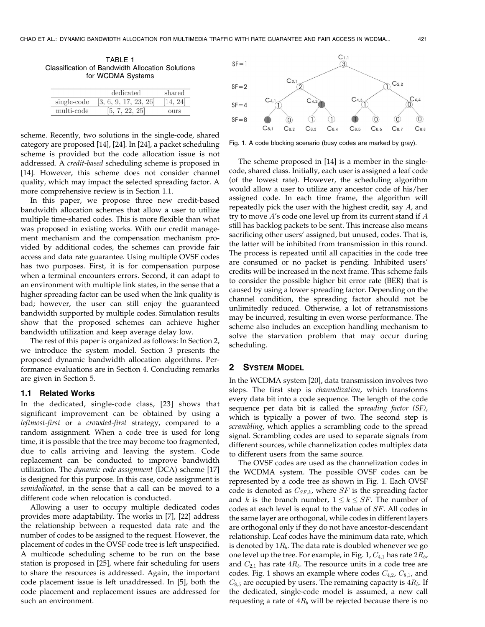TABLE 1 Classification of Bandwidth Allocation Solutions for WCDMA Systems

|             | dedicated             | shared      |  |
|-------------|-----------------------|-------------|--|
| single-code | [3, 6, 9, 17, 23, 26] |             |  |
| multi-code  |                       | <b>OUTS</b> |  |

scheme. Recently, two solutions in the single-code, shared category are proposed [14], [24]. In [24], a packet scheduling scheme is provided but the code allocation issue is not addressed. A credit-based scheduling scheme is proposed in [14]. However, this scheme does not consider channel quality, which may impact the selected spreading factor. A more comprehensive review is in Section 1.1.

In this paper, we propose three new credit-based bandwidth allocation schemes that allow a user to utilize multiple time-shared codes. This is more flexible than what was proposed in existing works. With our credit management mechanism and the compensation mechanism provided by additional codes, the schemes can provide fair access and data rate guarantee. Using multiple OVSF codes has two purposes. First, it is for compensation purpose when a terminal encounters errors. Second, it can adapt to an environment with multiple link states, in the sense that a higher spreading factor can be used when the link quality is bad; however, the user can still enjoy the guaranteed bandwidth supported by multiple codes. Simulation results show that the proposed schemes can achieve higher bandwidth utilization and keep average delay low.

The rest of this paper is organized as follows: In Section 2, we introduce the system model. Section 3 presents the proposed dynamic bandwidth allocation algorithms. Performance evaluations are in Section 4. Concluding remarks are given in Section 5.

#### 1.1 Related Works

In the dedicated, single-code class, [23] shows that significant improvement can be obtained by using a leftmost-first or a crowded-first strategy, compared to a random assignment. When a code tree is used for long time, it is possible that the tree may become too fragmented, due to calls arriving and leaving the system. Code replacement can be conducted to improve bandwidth utilization. The dynamic code assignment (DCA) scheme [17] is designed for this purpose. In this case, code assignment is semidedicated, in the sense that a call can be moved to a different code when relocation is conducted.

Allowing a user to occupy multiple dedicated codes provides more adaptability. The works in [7], [22] address the relationship between a requested data rate and the number of codes to be assigned to the request. However, the placement of codes in the OVSF code tree is left unspecified. A multicode scheduling scheme to be run on the base station is proposed in [25], where fair scheduling for users to share the resources is addressed. Again, the important code placement issue is left unaddressed. In [5], both the code placement and replacement issues are addressed for such an environment.



Fig. 1. A code blocking scenario (busy codes are marked by gray).

The scheme proposed in [14] is a member in the singlecode, shared class. Initially, each user is assigned a leaf code (of the lowest rate). However, the scheduling algorithm would allow a user to utilize any ancestor code of his/her assigned code. In each time frame, the algorithm will repeatedly pick the user with the highest credit, say A, and try to move  $A$ 's code one level up from its current stand if  $A$ still has backlog packets to be sent. This increase also means sacrificing other users' assigned, but unused, codes. That is, the latter will be inhibited from transmission in this round. The process is repeated until all capacities in the code tree are consumed or no packet is pending. Inhibited users' credits will be increased in the next frame. This scheme fails to consider the possible higher bit error rate (BER) that is caused by using a lower spreading factor. Depending on the channel condition, the spreading factor should not be unlimitedly reduced. Otherwise, a lot of retransmissions may be incurred, resulting in even worse performance. The scheme also includes an exception handling mechanism to solve the starvation problem that may occur during scheduling.

#### 2 SYSTEM MODEL

In the WCDMA system [20], data transmission involves two steps. The first step is channelization, which transforms every data bit into a code sequence. The length of the code sequence per data bit is called the spreading factor (SF), which is typically a power of two. The second step is scrambling, which applies a scrambling code to the spread signal. Scrambling codes are used to separate signals from different sources, while channelization codes multiplex data to different users from the same source.

The OVSF codes are used as the channelization codes in the WCDMA system. The possible OVSF codes can be represented by a code tree as shown in Fig. 1. Each OVSF code is denoted as  $C_{SF,k}$ , where  $SF$  is the spreading factor and k is the branch number,  $1 \le k \le SF$ . The number of codes at each level is equal to the value of SF. All codes in the same layer are orthogonal, while codes in different layers are orthogonal only if they do not have ancestor-descendant relationship. Leaf codes have the minimum data rate, which is denoted by  $1R_b$ . The data rate is doubled whenever we go one level up the tree. For example, in Fig. 1,  $C_{4,1}$  has rate  $2R_b$ , and  $C_{2,1}$  has rate  $4R_b$ . The resource units in a code tree are codes. Fig. 1 shows an example where codes  $C_{4,2}$ ,  $C_{8,1}$ , and  $C_{8,5}$  are occupied by users. The remaining capacity is  $4R_b$ . If the dedicated, single-code model is assumed, a new call requesting a rate of  $4R_b$  will be rejected because there is no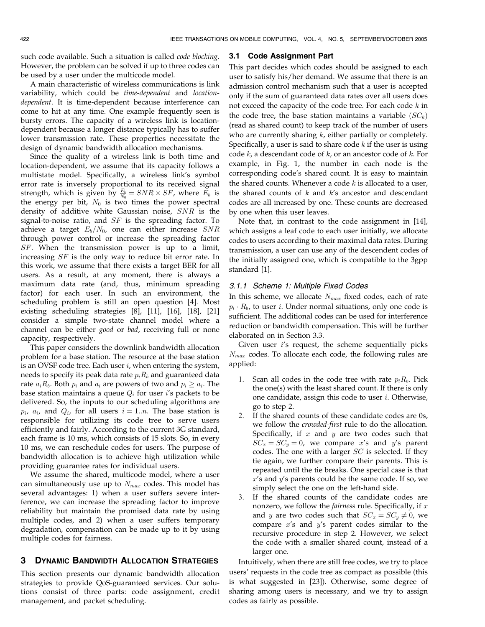such code available. Such a situation is called code blocking. However, the problem can be solved if up to three codes can be used by a user under the multicode model.

A main characteristic of wireless communications is link variability, which could be time-dependent and locationdependent. It is time-dependent because interference can come to hit at any time. One example frequently seen is bursty errors. The capacity of a wireless link is locationdependent because a longer distance typically has to suffer lower transmission rate. These properties necessitate the design of dynamic bandwidth allocation mechanisms.

Since the quality of a wireless link is both time and location-dependent, we assume that its capacity follows a multistate model. Specifically, a wireless link's symbol error rate is inversely proportional to its received signal strength, which is given by  $\frac{E_b}{N_0} = SNR \times SF$ , where  $E_b$  is the energy per bit,  $N_0$  is two times the power spectral density of additive white Gaussian noise, SNR is the signal-to-noise ratio, and  $SF$  is the spreading factor. To achieve a target  $E_b/N_0$ , one can either increase SNR through power control or increase the spreading factor SF. When the transmission power is up to a limit, increasing SF is the only way to reduce bit error rate. In this work, we assume that there exists a target BER for all users. As a result, at any moment, there is always a maximum data rate (and, thus, minimum spreading factor) for each user. In such an environment, the scheduling problem is still an open question [4]. Most existing scheduling strategies [8], [11], [16], [18], [21] consider a simple two-state channel model where a channel can be either good or bad, receiving full or none capacity, respectively.

This paper considers the downlink bandwidth allocation problem for a base station. The resource at the base station is an OVSF code tree. Each user  $i$ , when entering the system, needs to specify its peak data rate  $p_i R_b$  and guaranteed data rate  $a_iR_b$ . Both  $p_i$  and  $a_i$  are powers of two and  $p_i > a_i$ . The base station maintains a queue  $Q_i$  for user i's packets to be delivered. So, the inputs to our scheduling algorithms are  $p_i$ ,  $a_i$ , and  $Q_i$ , for all users  $i = 1..n$ . The base station is responsible for utilizing its code tree to serve users efficiently and fairly. According to the current 3G standard, each frame is 10 ms, which consists of 15 slots. So, in every 10 ms, we can reschedule codes for users. The purpose of bandwidth allocation is to achieve high utilization while providing guarantee rates for individual users.

We assume the shared, multicode model, where a user can simultaneously use up to  $N_{max}$  codes. This model has several advantages: 1) when a user suffers severe interference, we can increase the spreading factor to improve reliability but maintain the promised data rate by using multiple codes, and 2) when a user suffers temporary degradation, compensation can be made up to it by using multiple codes for fairness.

# 3 DYNAMIC BANDWIDTH ALLOCATION STRATEGIES

This section presents our dynamic bandwidth allocation strategies to provide QoS-guaranteed services. Our solutions consist of three parts: code assignment, credit management, and packet scheduling.

### 3.1 Code Assignment Part

This part decides which codes should be assigned to each user to satisfy his/her demand. We assume that there is an admission control mechanism such that a user is accepted only if the sum of guaranteed data rates over all users does not exceed the capacity of the code tree. For each code  $k$  in the code tree, the base station maintains a variable  $(SC_k)$ (read as shared count) to keep track of the number of users who are currently sharing  $k$ , either partially or completely. Specifically, a user is said to share code  $k$  if the user is using code  $k$ , a descendant code of  $k$ , or an ancestor code of  $k$ . For example, in Fig. 1, the number in each node is the corresponding code's shared count. It is easy to maintain the shared counts. Whenever a code  $k$  is allocated to a user, the shared counts of  $k$  and  $k$ 's ancestor and descendant codes are all increased by one. These counts are decreased by one when this user leaves.

Note that, in contrast to the code assignment in [14], which assigns a leaf code to each user initially, we allocate codes to users according to their maximal data rates. During transmission, a user can use any of the descendent codes of the initially assigned one, which is compatible to the 3gpp standard [1].

## 3.1.1 Scheme 1: Multiple Fixed Codes

In this scheme, we allocate  $N_{max}$  fixed codes, each of rate  $p_i \cdot R_b$ , to user *i*. Under normal situations, only one code is sufficient. The additional codes can be used for interference reduction or bandwidth compensation. This will be further elaborated on in Section 3.3.

Given user  $i$ 's request, the scheme sequentially picks  $N_{max}$  codes. To allocate each code, the following rules are applied:

- 1. Scan all codes in the code tree with rate  $p_i R_b$ . Pick the one(s) with the least shared count. If there is only one candidate, assign this code to user i. Otherwise, go to step 2.
- 2. If the shared counts of these candidate codes are 0s, we follow the crowded-first rule to do the allocation. Specifically, if  $x$  and  $y$  are two codes such that  $SC_x = SC_y = 0$ , we compare x's and y's parent codes. The one with a larger  $SC$  is selected. If they tie again, we further compare their parents. This is repeated until the tie breaks. One special case is that  $x$ 's and  $y$ 's parents could be the same code. If so, we simply select the one on the left-hand side.
- 3. If the shared counts of the candidate codes are nonzero, we follow the *fairness* rule. Specifically, if  $x$ and y are two codes such that  $SC_x = SC_y \neq 0$ , we compare  $x$ 's and  $y$ 's parent codes similar to the recursive procedure in step 2. However, we select the code with a smaller shared count, instead of a larger one.

Intuitively, when there are still free codes, we try to place users' requests in the code tree as compact as possible (this is what suggested in [23]). Otherwise, some degree of sharing among users is necessary, and we try to assign codes as fairly as possible.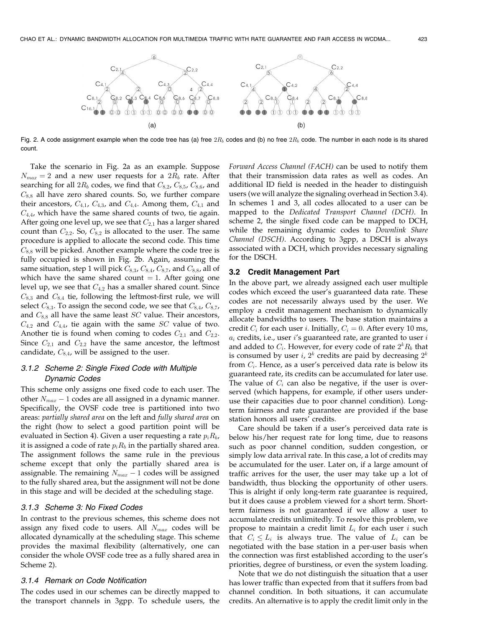

Fig. 2. A code assignment example when the code tree has (a) free  $2R_b$  codes and (b) no free  $2R_b$  code. The number in each node is its shared count.

Take the scenario in Fig. 2a as an example. Suppose  $N_{max} = 2$  and a new user requests for a  $2R_b$  rate. After searching for all  $2R_b$  codes, we find that  $C_{8,2}$ ,  $C_{8,5}$ ,  $C_{8,6}$ , and  $C_{8,8}$  all have zero shared counts. So, we further compare their ancestors,  $C_{4,1}$ ,  $C_{4,3}$ , and  $C_{4,4}$ . Among them,  $C_{4,1}$  and  $C_{4,4}$ , which have the same shared counts of two, tie again. After going one level up, we see that  $C_{2,1}$  has a larger shared count than  $C_{2,2}$ . So,  $C_{8,2}$  is allocated to the user. The same procedure is applied to allocate the second code. This time  $C_{8,8}$  will be picked. Another example where the code tree is fully occupied is shown in Fig. 2b. Again, assuming the same situation, step 1 will pick  $C_{8,3}$ ,  $C_{8,4}$ ,  $C_{8,7}$ , and  $C_{8,8}$ , all of which have the same shared count  $= 1$ . After going one level up, we see that  $C_{4,2}$  has a smaller shared count. Since  $C_{8,3}$  and  $C_{8,4}$  tie, following the leftmost-first rule, we will select  $C_{8,3}$ . To assign the second code, we see that  $C_{8,4}$ ,  $C_{8,7}$ , and  $C_{8,8}$  all have the same least  $SC$  value. Their ancestors,  $C_{4,2}$  and  $C_{4,4}$ , tie again with the same SC value of two. Another tie is found when coming to codes  $C_{2,1}$  and  $C_{2,2}$ . Since  $C_{2,1}$  and  $C_{2,2}$  have the same ancestor, the leftmost candidate,  $C_{8,4}$ , will be assigned to the user.

# 3.1.2 Scheme 2: Single Fixed Code with Multiple Dynamic Codes

This scheme only assigns one fixed code to each user. The other  $N_{max}$  – 1 codes are all assigned in a dynamic manner. Specifically, the OVSF code tree is partitioned into two areas: partially shared area on the left and fully shared area on the right (how to select a good partition point will be evaluated in Section 4). Given a user requesting a rate  $p_i R_b$ , it is assigned a code of rate  $p_i R_b$  in the partially shared area. The assignment follows the same rule in the previous scheme except that only the partially shared area is assignable. The remaining  $N_{max} - 1$  codes will be assigned to the fully shared area, but the assignment will not be done in this stage and will be decided at the scheduling stage.

#### 3.1.3 Scheme 3: No Fixed Codes

In contrast to the previous schemes, this scheme does not assign any fixed code to users. All  $N_{max}$  codes will be allocated dynamically at the scheduling stage. This scheme provides the maximal flexibility (alternatively, one can consider the whole OVSF code tree as a fully shared area in Scheme 2).

## 3.1.4 Remark on Code Notification

The codes used in our schemes can be directly mapped to the transport channels in 3gpp. To schedule users, the Forward Access Channel (FACH) can be used to notify them that their transmission data rates as well as codes. An additional ID field is needed in the header to distinguish users (we will analyze the signaling overhead in Section 3.4). In schemes 1 and 3, all codes allocated to a user can be mapped to the Dedicated Transport Channel (DCH). In scheme 2, the single fixed code can be mapped to DCH, while the remaining dynamic codes to Downlink Share Channel (DSCH). According to 3gpp, a DSCH is always associated with a DCH, which provides necessary signaling for the DSCH.

#### 3.2 Credit Management Part

In the above part, we already assigned each user multiple codes which exceed the user's guaranteed data rate. These codes are not necessarily always used by the user. We employ a credit management mechanism to dynamically allocate bandwidths to users. The base station maintains a credit  $C_i$  for each user *i*. Initially,  $C_i = 0$ . After every 10 ms,  $a_i$  credits, i.e., user i's guaranteed rate, are granted to user  $i$ and added to  $C_i$ . However, for every code of rate  $2^k R_b$  that is consumed by user *i*,  $2^k$  credits are paid by decreasing  $2^k$ from  $C_i$ . Hence, as a user's perceived data rate is below its guaranteed rate, its credits can be accumulated for later use. The value of  $C_i$  can also be negative, if the user is overserved (which happens, for example, if other users underuse their capacities due to poor channel condition). Longterm fairness and rate guarantee are provided if the base station honors all users' credits.

Care should be taken if a user's perceived data rate is below his/her request rate for long time, due to reasons such as poor channel condition, sudden congestion, or simply low data arrival rate. In this case, a lot of credits may be accumulated for the user. Later on, if a large amount of traffic arrives for the user, the user may take up a lot of bandwidth, thus blocking the opportunity of other users. This is alright if only long-term rate guarantee is required, but it does cause a problem viewed for a short term. Shortterm fairness is not guaranteed if we allow a user to accumulate credits unlimitedly. To resolve this problem, we propose to maintain a credit limit  $L_i$  for each user i such that  $C_i \leq L_i$  is always true. The value of  $L_i$  can be negotiated with the base station in a per-user basis when the connection was first established according to the user's priorities, degree of burstiness, or even the system loading.

Note that we do not distinguish the situation that a user has lower traffic than expected from that it suffers from bad channel condition. In both situations, it can accumulate credits. An alternative is to apply the credit limit only in the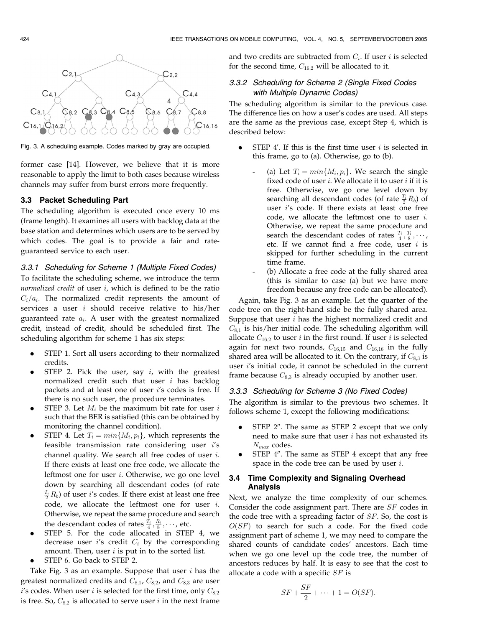

Fig. 3. A scheduling example. Codes marked by gray are occupied.

former case [14]. However, we believe that it is more reasonable to apply the limit to both cases because wireless channels may suffer from burst errors more frequently.

## 3.3 Packet Scheduling Part

The scheduling algorithm is executed once every 10 ms (frame length). It examines all users with backlog data at the base station and determines which users are to be served by which codes. The goal is to provide a fair and rateguaranteed service to each user.

## 3.3.1 Scheduling for Scheme 1 (Multiple Fixed Codes)

To facilitate the scheduling scheme, we introduce the term normalized credit of user  $i$ , which is defined to be the ratio  $C_i/a_i$ . The normalized credit represents the amount of services a user  $i$  should receive relative to his/her guaranteed rate  $a_i$ . A user with the greatest normalized credit, instead of credit, should be scheduled first. The scheduling algorithm for scheme 1 has six steps:

- . STEP 1. Sort all users according to their normalized credits.
- STEP 2. Pick the user, say  $i$ , with the greatest normalized credit such that user i has backlog packets and at least one of user i's codes is free. If there is no such user, the procedure terminates.
- STEP 3. Let  $M_i$  be the maximum bit rate for user  $i$ such that the BER is satisfied (this can be obtained by monitoring the channel condition).
- STEP 4. Let  $T_i = min{M_i, p_i}$ , which represents the feasible transmission rate considering user i's channel quality. We search all free codes of user i. If there exists at least one free code, we allocate the leftmost one for user i. Otherwise, we go one level down by searching all descendant codes (of rate  $\frac{T_i}{2}R_b$ ) of user *i*'s codes. If there exist at least one free code, we allocate the leftmost one for user i. Otherwise, we repeat the same procedure and search the descendant codes of rates  $\frac{T_i}{4}, \frac{R_i}{8}, \cdots$ , etc.
- . STEP 5. For the code allocated in STEP 4, we decrease user  $i$ 's credit  $C_i$  by the corresponding amount. Then, user  $i$  is put in to the sorted list.
- . STEP 6. Go back to STEP 2.

Take Fig. 3 as an example. Suppose that user  $i$  has the greatest normalized credits and  $C_{8,1}$ ,  $C_{8,2}$ , and  $C_{8,3}$  are user  $i$ 's codes. When user i is selected for the first time, only  $C_{8,2}$ is free. So,  $C_{8,2}$  is allocated to serve user *i* in the next frame

and two credits are subtracted from  $C_i$ . If user *i* is selected for the second time,  $C_{16,2}$  will be allocated to it.

# 3.3.2 Scheduling for Scheme 2 (Single Fixed Codes with Multiple Dynamic Codes)

The scheduling algorithm is similar to the previous case. The difference lies on how a user's codes are used. All steps are the same as the previous case, except Step 4, which is described below:

- STEP 4'. If this is the first time user  $i$  is selected in this frame, go to (a). Otherwise, go to (b).
	- (a) Let  $T_i = min{M_i, p_i}$ . We search the single fixed code of user  $i$ . We allocate it to user  $i$  if it is free. Otherwise, we go one level down by searching all descendant codes (of rate  $\frac{T_i}{2}R_b$ ) of user i's code. If there exists at least one free code, we allocate the leftmost one to user  $i$ . Otherwise, we repeat the same procedure and search the descendant codes of rates  $\frac{T_i}{4}, \frac{T_i}{8}, \cdots$ , etc. If we cannot find a free code, user  $i$  is skipped for further scheduling in the current time frame.
	- (b) Allocate a free code at the fully shared area (this is similar to case (a) but we have more freedom because any free code can be allocated).

Again, take Fig. 3 as an example. Let the quarter of the code tree on the right-hand side be the fully shared area. Suppose that user  $i$  has the highest normalized credit and  $C_{8,1}$  is his/her initial code. The scheduling algorithm will allocate  $C_{16,2}$  to user *i* in the first round. If user *i* is selected again for next two rounds,  $C_{16,15}$  and  $C_{16,16}$  in the fully shared area will be allocated to it. On the contrary, if  $C_{8,3}$  is user i's initial code, it cannot be scheduled in the current frame because  $C_{8,3}$  is already occupied by another user.

## 3.3.3 Scheduling for Scheme 3 (No Fixed Codes)

The algorithm is similar to the previous two schemes. It follows scheme 1, except the following modifications:

- STEP 2". The same as STEP 2 except that we only need to make sure that user  $i$  has not exhausted its  $N_{max}$  codes.
- STEP  $4$ ". The same as STEP 4 except that any free space in the code tree can be used by user  $i$ .

## 3.4 Time Complexity and Signaling Overhead Analysis

Next, we analyze the time complexity of our schemes. Consider the code assignment part. There are SF codes in the code tree with a spreading factor of SF. So, the cost is  $O(SF)$  to search for such a code. For the fixed code assignment part of scheme 1, we may need to compare the shared counts of candidate codes' ancestors. Each time when we go one level up the code tree, the number of ancestors reduces by half. It is easy to see that the cost to allocate a code with a specific  $SF$  is

$$
SF + \frac{SF}{2} + \dots + 1 = O(SF).
$$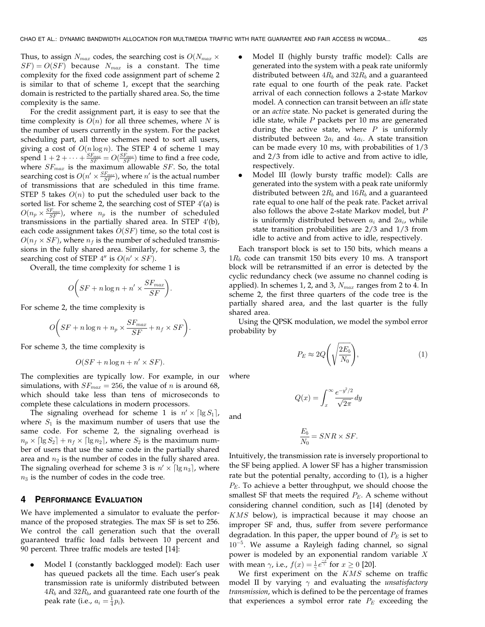Thus, to assign  $N_{max}$  codes, the searching cost is  $O(N_{max} \times$  $SF$ ) =  $O(SF)$  because  $N_{max}$  is a constant. The time complexity for the fixed code assignment part of scheme 2 is similar to that of scheme 1, except that the searching domain is restricted to the partially shared area. So, the time complexity is the same.

For the credit assignment part, it is easy to see that the time complexity is  $O(n)$  for all three schemes, where N is the number of users currently in the system. For the packet scheduling part, all three schemes need to sort all users, giving a cost of  $O(n \log n)$ . The STEP 4 of scheme 1 may spend  $1 + 2 + \cdots + \frac{SF_{max}}{SF} = O(\frac{SF_{max}}{SF})$  time to find a free code, where  $SF_{max}$  is the maximum allowable  $SF$ . So, the total searching cost is  $O(n' \times \frac{SF_{max}}{SF})$ , where  $n'$  is the actual number of transmissions that are scheduled in this time frame. STEP 5 takes  $O(n)$  to put the scheduled user back to the sorted list. For scheme 2, the searching cost of STEP  $4'(a)$  is  $O(n_p \times \frac{SF_{max}}{SF})$ , where  $n_p$  is the number of scheduled transmissions in the partially shared area. In STEP  $4'(b)$ , each code assignment takes  $O(SF)$  time, so the total cost is  $O(n_f \times SF)$ , where  $n_f$  is the number of scheduled transmissions in the fully shared area. Similarly, for scheme 3, the searching cost of STEP  $4''$  is  $O(n' \times SF)$ .

Overall, the time complexity for scheme 1 is

$$
O\bigg(SF + n\log n + n' \times \frac{SF_{max}}{SF}\bigg).
$$

For scheme 2, the time complexity is

$$
O\bigg(SF + n\log n + n_p\times \frac{SF_{max}}{SF} + n_f\times SF\bigg).
$$

For scheme 3, the time complexity is

$$
O(SF + n\log n + n' \times SF).
$$

The complexities are typically low. For example, in our simulations, with  $SF_{max} = 256$ , the value of *n* is around 68, which should take less than tens of microseconds to complete these calculations in modern processors.

The signaling overhead for scheme 1 is  $n' \times \lceil \lg S_1 \rceil$ , where  $S_1$  is the maximum number of users that use the same code. For scheme 2, the signaling overhead is  $n_p \times \lceil \lg S_2 \rceil + n_f \times \lceil \lg n_2 \rceil$ , where  $S_2$  is the maximum number of users that use the same code in the partially shared area and  $n_2$  is the number of codes in the fully shared area. The signaling overhead for scheme 3 is  $n' \times \lceil \lg n_3 \rceil$ , where  $n_3$  is the number of codes in the code tree.

#### 4 PERFORMANCE EVALUATION

We have implemented a simulator to evaluate the performance of the proposed strategies. The max SF is set to 256. We control the call generation such that the overall guaranteed traffic load falls between 10 percent and 90 percent. Three traffic models are tested [14]:

. Model I (constantly backlogged model): Each user has queued packets all the time. Each user's peak transmission rate is uniformly distributed between  $4R_b$  and  $32R_b$ , and guaranteed rate one fourth of the peak rate (i.e.,  $a_i = \frac{1}{4}p_i$ ).

- . Model II (highly bursty traffic model): Calls are generated into the system with a peak rate uniformly distributed between  $4R_b$  and  $32R_b$  and a guaranteed rate equal to one fourth of the peak rate. Packet arrival of each connection follows a 2-state Markov model. A connection can transit between an idle state or an active state. No packet is generated during the idle state, while  $P$  packets per 10 ms are generated during the active state, where  $P$  is uniformly distributed between  $2a_i$  and  $4a_i$ . A state transition can be made every 10 ms, with probabilities of 1/3 and 2/3 from idle to active and from active to idle, respectively.
- . Model III (lowly bursty traffic model): Calls are generated into the system with a peak rate uniformly distributed between  $2R_b$  and  $16R_b$  and a guaranteed rate equal to one half of the peak rate. Packet arrival also follows the above 2-state Markov model, but P is uniformly distributed between  $a_i$  and  $2a_i$ , while state transition probabilities are 2/3 and 1/3 from idle to active and from active to idle, respectively.

Each transport block is set to 150 bits, which means a  $1R_b$  code can transmit 150 bits every 10 ms. A transport block will be retransmitted if an error is detected by the cyclic redundancy check (we assume no channel coding is applied). In schemes 1, 2, and 3,  $N_{max}$  ranges from 2 to 4. In scheme 2, the first three quarters of the code tree is the partially shared area, and the last quarter is the fully shared area.

Using the QPSK modulation, we model the symbol error probability by

$$
P_E \approx 2Q\left(\sqrt{\frac{2E_b}{N_0}}\right),\tag{1}
$$

where

and

$$
Q(x) = \int_{x}^{\infty} \frac{e^{-y^2/2}}{\sqrt{2\pi}} dy
$$

$$
\frac{E_b}{N_0}=SNR\times SF.
$$

Intuitively, the transmission rate is inversely proportional to the SF being applied. A lower SF has a higher transmission rate but the potential penalty, according to (1), is a higher  $P_E$ . To achieve a better throughput, we should choose the smallest SF that meets the required  $P_E$ . A scheme without considering channel condition, such as [14] (denoted by KMS below), is impractical because it may choose an improper SF and, thus, suffer from severe performance degradation. In this paper, the upper bound of  $P_E$  is set to  $10^{-5}$ . We assume a Rayleigh fading channel, so signal power is modeled by an exponential random variable  $X$ with mean  $\gamma$ , i.e.,  $f(x) = \frac{1}{\gamma} e^{\frac{-x^2}{\gamma}}$  for  $x \ge 0$  [20].

We first experiment on the  $KMS$  scheme on traffic model II by varying  $\gamma$  and evaluating the *unsatisfactory* transmission, which is defined to be the percentage of frames that experiences a symbol error rate  $P_E$  exceeding the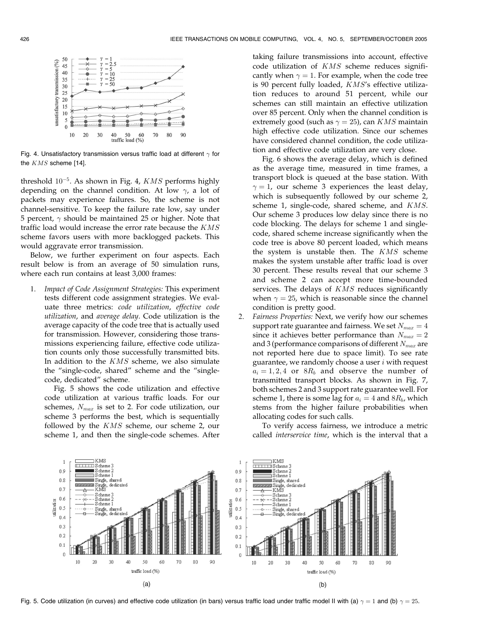

Fig. 4. Unsatisfactory transmission versus traffic load at different  $\gamma$  for the KMS scheme [14].

threshold  $10^{-5}$ . As shown in Fig. 4, KMS performs highly depending on the channel condition. At low  $\gamma$ , a lot of packets may experience failures. So, the scheme is not channel-sensitive. To keep the failure rate low, say under 5 percent,  $\gamma$  should be maintained 25 or higher. Note that traffic load would increase the error rate because the KMS scheme favors users with more backlogged packets. This would aggravate error transmission.

Below, we further experiment on four aspects. Each result below is from an average of 50 simulation runs, where each run contains at least 3,000 frames:

1. Impact of Code Assignment Strategies: This experiment tests different code assignment strategies. We evaluate three metrics: code utilization, effective code utilization, and average delay. Code utilization is the average capacity of the code tree that is actually used for transmission. However, considering those transmissions experiencing failure, effective code utilization counts only those successfully transmitted bits. In addition to the  $KMS$  scheme, we also simulate the "single-code, shared" scheme and the "singlecode, dedicated" scheme.

Fig. 5 shows the code utilization and effective code utilization at various traffic loads. For our schemes,  $N_{max}$  is set to 2. For code utilization, our scheme 3 performs the best, which is sequentially followed by the KMS scheme, our scheme 2, our scheme 1, and then the single-code schemes. After taking failure transmissions into account, effective code utilization of KMS scheme reduces significantly when  $\gamma = 1$ . For example, when the code tree is 90 percent fully loaded, KMS's effective utilization reduces to around 51 percent, while our schemes can still maintain an effective utilization over 85 percent. Only when the channel condition is extremely good (such as  $\gamma = 25$ ), can  $KMS$  maintain high effective code utilization. Since our schemes have considered channel condition, the code utilization and effective code utilization are very close.

Fig. 6 shows the average delay, which is defined as the average time, measured in time frames, a transport block is queued at the base station. With  $\gamma = 1$ , our scheme 3 experiences the least delay, which is subsequently followed by our scheme 2, scheme 1, single-code, shared scheme, and KMS. Our scheme 3 produces low delay since there is no code blocking. The delays for scheme 1 and singlecode, shared scheme increase significantly when the code tree is above 80 percent loaded, which means the system is unstable then. The  $KMS$  scheme makes the system unstable after traffic load is over 30 percent. These results reveal that our scheme 3 and scheme 2 can accept more time-bounded services. The delays of KMS reduces significantly when  $\gamma = 25$ , which is reasonable since the channel condition is pretty good.

2. Fairness Properties: Next, we verify how our schemes support rate guarantee and fairness. We set  $N_{max} = 4$ since it achieves better performance than  $N_{max} = 2$ and 3 (performance comparisons of different  $N_{max}$  are not reported here due to space limit). To see rate guarantee, we randomly choose a user  $i$  with request  $a_i = 1, 2, 4$  or  $8R_b$  and observe the number of transmitted transport blocks. As shown in Fig. 7, both schemes 2 and 3 support rate guarantee well. For scheme 1, there is some lag for  $a_i = 4$  and  $8R_b$ , which stems from the higher failure probabilities when allocating codes for such calls.

To verify access fairness, we introduce a metric called interservice time, which is the interval that a



Fig. 5. Code utilization (in curves) and effective code utilization (in bars) versus traffic load under traffic model II with (a)  $\gamma=1$  and (b)  $\gamma=25$ .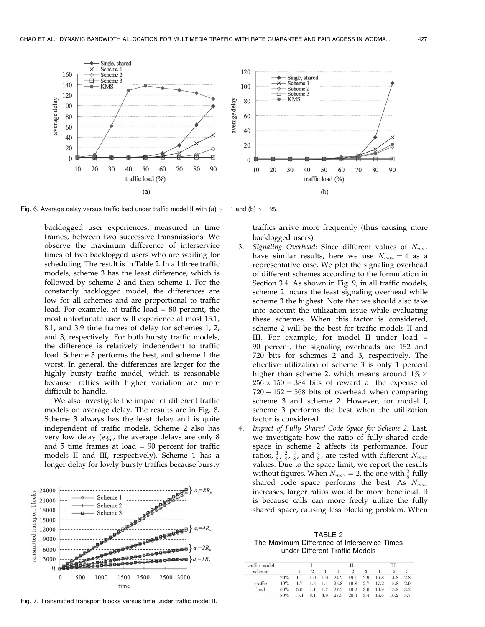

Fig. 6. Average delay versus traffic load under traffic model II with (a)  $\gamma=1$  and (b)  $\gamma=25.$ 

backlogged user experiences, measured in time frames, between two successive transmissions. We observe the maximum difference of interservice times of two backlogged users who are waiting for scheduling. The result is in Table 2. In all three traffic models, scheme 3 has the least difference, which is followed by scheme 2 and then scheme 1. For the constantly backlogged model, the differences are low for all schemes and are proportional to traffic load. For example, at traffic load = 80 percent, the most unfortunate user will experience at most 15.1, 8.1, and 3.9 time frames of delay for schemes 1, 2, and 3, respectively. For both bursty traffic models, the difference is relatively independent to traffic load. Scheme 3 performs the best, and scheme 1 the worst. In general, the differences are larger for the highly bursty traffic model, which is reasonable because traffics with higher variation are more difficult to handle.

We also investigate the impact of different traffic models on average delay. The results are in Fig. 8. Scheme 3 always has the least delay and is quite independent of traffic models. Scheme 2 also has very low delay (e.g., the average delays are only 8 and  $5$  time frames at load  $= 90$  percent for traffic models II and III, respectively). Scheme 1 has a longer delay for lowly bursty traffics because bursty



Fig. 7. Transmitted transport blocks versus time under traffic model II.

traffics arrive more frequently (thus causing more backlogged users).

- 3. Signaling Overhead: Since different values of  $N_{max}$ have similar results, here we use  $N_{max} = 4$  as a representative case. We plot the signaling overhead of different schemes according to the formulation in Section 3.4. As shown in Fig. 9, in all traffic models, scheme 2 incurs the least signaling overhead while scheme 3 the highest. Note that we should also take into account the utilization issue while evaluating these schemes. When this factor is considered, scheme 2 will be the best for traffic models II and III. For example, for model II under load = 90 percent, the signaling overheads are 152 and 720 bits for schemes 2 and 3, respectively. The effective utilization of scheme 3 is only 1 percent higher than scheme 2, which means around  $1\%$   $\times$  $256 \times 150 = 384$  bits of reward at the expense of  $720 - 152 = 568$  bits of overhead when comparing scheme 3 and scheme 2. However, for model I, scheme 3 performs the best when the utilization factor is considered.
- 4. Impact of Fully Shared Code Space for Scheme 2: Last, we investigate how the ratio of fully shared code space in scheme 2 affects its performance. Four ratios,  $\frac{1}{8}$ ,  $\frac{2}{8}$ ,  $\frac{3}{8}$ , and  $\frac{4}{8}$ , are tested with different  $N_{max}$ values. Due to the space limit, we report the results without figures. When  $N_{max} = 2$ , the one with  $\frac{2}{8}$  fully shared code space performs the best. As  $N_{max}$ increases, larger ratios would be more beneficial. It is because calls can more freely utilize the fully shared space, causing less blocking problem. When

TABLE 2 The Maximum Difference of Interservice Times under Different Traffic Models

| traffic model<br>scheme |     |      |               |         |      |               | Ш   |      |      |     |
|-------------------------|-----|------|---------------|---------|------|---------------|-----|------|------|-----|
|                         |     |      | $\mathcal{D}$ | 3       |      | $\mathcal{D}$ | 3   |      | 2    |     |
|                         | 20% |      | 1.0           | 1.0     | 24.2 | 19.1          | 2.9 | 16.8 | 14.8 | 2.8 |
| traffic                 | 40% |      | 1.5           | $1.1\,$ | 25.8 | 19.8          | 2.7 | 17.2 | 15.8 | 2.9 |
| load                    | 60% | 5.0  | 4.1           | 1.7     | 27.2 | 19.2          | 3.0 | 16.9 | 15.8 | 3.2 |
|                         | 80% | 15.1 | 8.1           | 3.9     | 27.5 | 20.4          | 3.4 | 16.6 | 16.2 | 3.7 |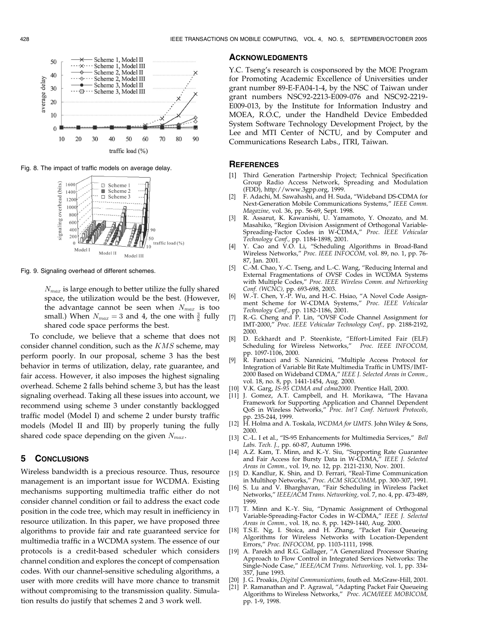

Fig. 8. The impact of traffic models on average delay.



Fig. 9. Signaling overhead of different schemes.

 $N_{max}$  is large enough to better utilize the fully shared space, the utilization would be the best. (However, the advantage cannot be seen when  $N_{max}$  is too small.) When  $N_{max} = 3$  and 4, the one with  $\frac{3}{8}$  fully shared code space performs the best.

To conclude, we believe that a scheme that does not consider channel condition, such as the  $KMS$  scheme, may perform poorly. In our proposal, scheme 3 has the best behavior in terms of utilization, delay, rate guarantee, and fair access. However, it also imposes the highest signaling overhead. Scheme 2 falls behind scheme 3, but has the least signaling overhead. Taking all these issues into account, we recommend using scheme 3 under constantly backlogged traffic model (Model I) and scheme 2 under bursty traffic models (Model II and III) by properly tuning the fully shared code space depending on the given  $N_{max}$ .

## 5 CONCLUSIONS

Wireless bandwidth is a precious resource. Thus, resource management is an important issue for WCDMA. Existing mechanisms supporting multimedia traffic either do not consider channel condition or fail to address the exact code position in the code tree, which may result in inefficiency in resource utilization. In this paper, we have proposed three algorithms to provide fair and rate guaranteed service for multimedia traffic in a WCDMA system. The essence of our protocols is a credit-based scheduler which considers channel condition and explores the concept of compensation codes. With our channel-sensitive scheduling algorithms, a user with more credits will have more chance to transmit without compromising to the transmission quality. Simulation results do justify that schemes 2 and 3 work well.

#### ACKNOWLEDGMENTS

Y.C. Tseng's research is cosponsored by the MOE Program for Promoting Academic Excellence of Universities under grant number 89-E-FA04-1-4, by the NSC of Taiwan under grant numbers NSC92-2213-E009-076 and NSC92-2219- E009-013, by the Institute for Information Industry and MOEA, R.O.C, under the Handheld Device Embedded System Software Technology Development Project, by the Lee and MTI Center of NCTU, and by Computer and Communications Research Labs., ITRI, Taiwan.

#### **REFERENCES**

- [1] Third Generation Partnership Project; Technical Specification Group Radio Access Network, Spreading and Modulation (FDD), http://www.3gpp.org, 1999.
- [2] F. Adachi, M. Sawahashi, and H. Suda, "Wideband DS-CDMA for Next-Generation Mobile Communications Systems," IEEE Comm. Magazine, vol. 36, pp. 56-69, Sept. 1998.
- [3] R. Assarut, K. Kawanishi, U. Yamamoto, Y. Onozato, and M. Masahiko, "Region Division Assignment of Orthogonal Variable-Spreading-Factor Codes in W-CDMA," Proc. IEEE Vehicular Technology Conf., pp. 1184-1898, 2001.
- [4] Y. Cao and V.O. Li, "Scheduling Algorithms in Broad-Band Wireless Networks," Proc. IEEE INFOCOM, vol. 89, no. 1, pp. 76- 87, Jan. 2001.
- [5] C.-M. Chao, Y.-C. Tseng, and L.-C. Wang, "Reducing Internal and External Fragmentations of OVSF Codes in WCDMA Systems with Multiple Codes," Proc. IEEE Wireless Comm. and Networking Conf. (WCNC), pp. 693-698, 2003.
- [6] W.-T. Chen, Y.-P. Wu, and H.-C. Hsiao, "A Novel Code Assignment Scheme for W-CDMA Systems," Proc. IEEE Vehicular Technology Conf., pp. 1182-1186, 2001.
- [7] R.-G. Cheng and P. Lin, "OVSF Code Channel Assignment for IMT-2000," Proc. IEEE Vehicular Technology Conf., pp. 2188-2192, 2000.
- [8] D. Eckhardt and P. Steenkiste, "Effort-Limited Fair (ELF)<br>Scheduling for Wireless Networks," Proc. IEEE INFOCOM, Scheduling for Wireless Networks," pp. 1097-1106, 2000.
- [9] R. Fantacci and S. Nannicini, "Multiple Access Protocol for Integration of Variable Bit Rate Multimedia Traffic in UMTS/IMT-2000 Based on Wideband CDMA," IEEE J. Selected Areas in Comm., vol. 18, no. 8, pp. 1441-1454, Aug. 2000.
- [10] V.K. Garg, IS-95 CDMA and cdma2000. Prentice Hall, 2000.
- [11] J. Gomez, A.T. Campbell, and H. Morikawa, "The Havana Framework for Supporting Application and Channel Dependent QoS in Wireless Networks," Proc. Int'l Conf. Network Protocols, pp. 235-244, 1999.
- [12] H. Holma and A. Toskala, WCDMA for UMTS. John Wiley & Sons, 2000.
- [13] C.-L. I et al., "IS-95 Enhancements for Multimedia Services," Bell Labs. Tech. J., pp. 60-87, Autumn 1996.
- [14] A.Z. Kam, T. Minn, and K.-Y. Siu, "Supporting Rate Guarantee and Fair Access for Bursty Data in W-CDMA," IEEE J. Selected Areas in Comm., vol. 19, no. 12, pp. 2121-2130, Nov. 2001.
- [15] D. Kandlur, K. Shin, and D. Ferrari, "Real-Time Communication in Multihop Networks," Proc. ACM SIGCOMM, pp. 300-307, 1991.
- [16] S. Lu and V. Bharghavan, "Fair Scheduling in Wireless Packet Networks," IEEE/ACM Trans. Networking, vol. 7, no. 4, pp. 473-489, 1999.
- [17] T. Minn and K.-Y. Siu, "Dynamic Assignment of Orthogonal Variable-Spreading-Factor Codes in W-CDMA," IEEE J. Selected Areas in Comm., vol. 18, no. 8, pp. 1429-1440, Aug. 2000.
- [18] T.S.E. Ng, I. Stoica, and H. Zhang, "Packet Fair Queueing Algorithms for Wireless Networks with Location-Dependent Errors," Proc. INFOCOM, pp. 1103-1111, 1998.
- [19] A. Parekh and R.G. Gallager, "A Generalized Processor Sharing Approach to Flow Control in Integrated Services Networks: The Single-Node Case," IEEE/ACM Trans. Networking, vol. 1, pp. 334- 357, June 1993.
- [20] J. G. Proakis, Digital Communications, fouth ed. McGraw-Hill, 2001.
- P. Ramanathan and P. Agrawal, "Adapting Packet Fair Queueing Algorithms to Wireless Networks," Proc. ACM/IEEE MOBICOM, pp. 1-9, 1998.